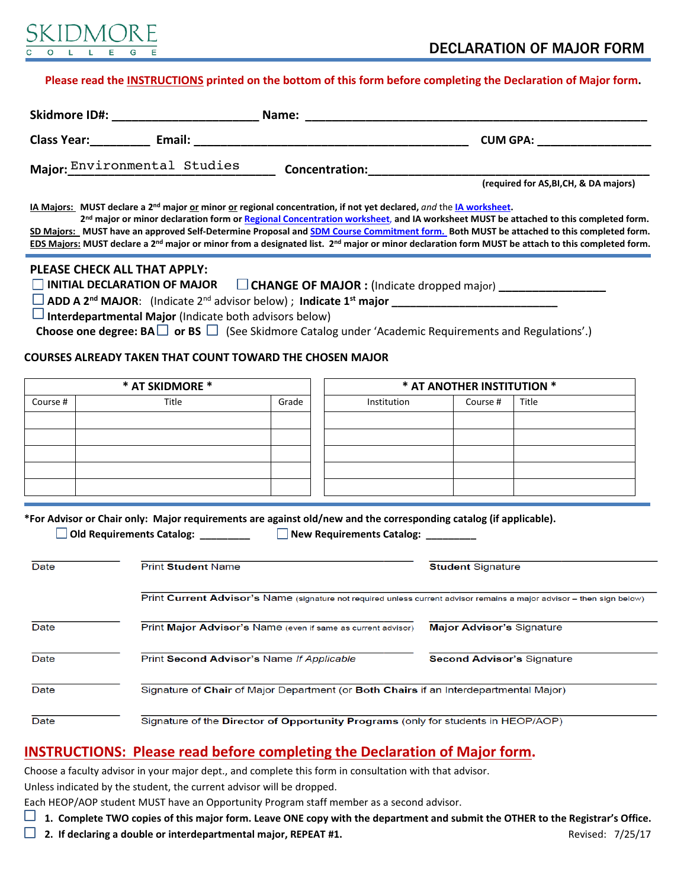

### **Please read the [INSTRUCTIONS](#page-0-0) printed on the bottom of this form before completing the Declaration of Major form.**

| <b>Skidmore ID#:</b>         | Name:          |                                        |  |
|------------------------------|----------------|----------------------------------------|--|
| <b>Class Year:</b><br>Email: |                | <b>CUM GPA:</b>                        |  |
| Major: Environmental Studies | Concentration: |                                        |  |
|                              |                | (required for AS, BI, CH, & DA majors) |  |

**IA Majors: MUST declare a 2nd major or minor or regional concentration, if not yet declared,** *and* the **[IA worksheet.](http://www.skidmore.edu/international_affairs/documents/Skidmore-Major-Worksheet-revised.pdf)** 

 **2nd major or minor declaration form or [Regional Concentration worksheet](file:///Volumes/Environmental%20Studies/Shared/Important%20ESS%20Documents/Checklists%20and%20declaration%20of%20major%20forms%20for%20webpage//C/Users/tblair/AppData/Local/Microsoft/Windows/Temporary%20Internet%20Files/Content.Outlook/Banner/Major%20Minor%20and%20DARS%20documenation/DARS/Declaration%20of%20International%20Affairs%20Regional%20Concentration%20V1.docx)**, **and IA worksheet MUST be attached to this completed form. SD Majors: MUST have an approved Self-Determine Proposal and [SDM Course Commitment form.](http://www.skidmore.edu/sdm/documents/2014-SDM-Declaration-Courses.docx) Both MUST be attached to this completed form. EDS Majors: MUST declare a 2nd major or minor from a designated list. 2nd major or minor declaration form MUST be attach to this completed form.**

#### **PLEASE CHECK ALL THAT APPLY:**

□ INITIAL DECLARATION OF MAJOR □ CHANGE OF MAJOR : (Indicate dropped major)

 **ADD A 2nd MAJOR**: (Indicate 2nd advisor below) ; **Indicate 1st major \_\_\_\_\_\_\_\_\_\_\_\_\_\_\_\_\_\_\_\_\_\_\_\_\_\_\_**

 **Interdepartmental Major** (Indicate both advisors below)

Choose one degree: BA □ or BS □ (See Skidmore Catalog under 'Academic Requirements and Regulations'.)

## **COURSES ALREADY TAKEN THAT COUNT TOWARD THE CHOSEN MAJOR**

|          | * AT SKIDMORE * |       |             | * AT ANOTHER INSTITUTION * |       |
|----------|-----------------|-------|-------------|----------------------------|-------|
| Course # | Title           | Grade | Institution | Course #                   | Title |
|          |                 |       |             |                            |       |
|          |                 |       |             |                            |       |
|          |                 |       |             |                            |       |
|          |                 |       |             |                            |       |
|          |                 |       |             |                            |       |

**\*For Advisor or Chair only: Major requirements are against old/new and the corresponding catalog (if applicable).**

 **Old Requirements Catalog: \_\_\_\_\_\_\_\_\_ New Requirements Catalog: \_\_\_\_\_\_\_\_\_** 

| Date | <b>Print Student Name</b>                                                                                              | <b>Student Signature</b>          |  |  |  |
|------|------------------------------------------------------------------------------------------------------------------------|-----------------------------------|--|--|--|
|      |                                                                                                                        |                                   |  |  |  |
|      | Print Current Advisor's Name (signature not required unless current advisor remains a major advisor - then sign below) |                                   |  |  |  |
| Date | Print Major Advisor's Name (even if same as current advisor)                                                           | <b>Major Advisor's Signature</b>  |  |  |  |
| Date | Print Second Advisor's Name If Applicable                                                                              | <b>Second Advisor's Signature</b> |  |  |  |
| Date | Signature of Chair of Major Department (or Both Chairs if an Interdepartmental Major)                                  |                                   |  |  |  |
| Date | Signature of the Director of Opportunity Programs (only for students in HEOP/AOP)                                      |                                   |  |  |  |

# <span id="page-0-0"></span>**INSTRUCTIONS: Please read before completing the Declaration of Major form.**

Choose a faculty advisor in your major dept., and complete this form in consultation with that advisor.

Unless indicated by the student, the current advisor will be dropped.

Each HEOP/AOP student MUST have an Opportunity Program staff member as a second advisor.

 **1. Complete TWO copies of this major form. Leave ONE copy with the department and submit the OTHER to the Registrar's Office.**

**1** 2. If declaring a double or interdepartmental major, REPEAT #1. **Revised: 7/25/17** Revised: 7/25/17